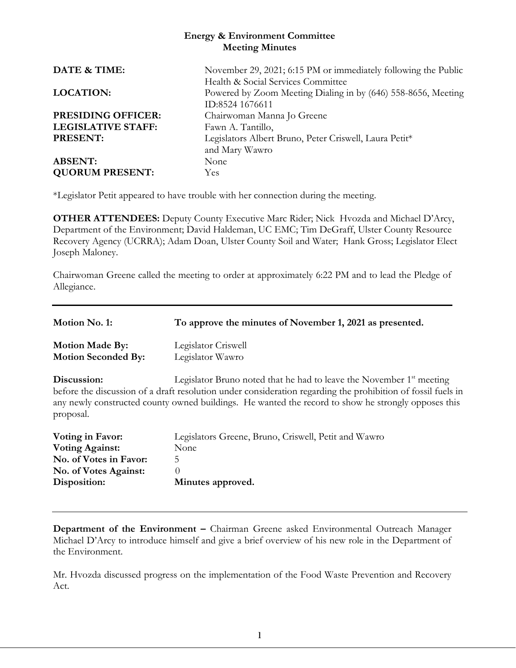#### **Energy & Environment Committee Meeting Minutes**

| DATE & TIME:              | November 29, 2021; 6:15 PM or immediately following the Public |
|---------------------------|----------------------------------------------------------------|
|                           | Health & Social Services Committee                             |
| <b>LOCATION:</b>          | Powered by Zoom Meeting Dialing in by (646) 558-8656, Meeting  |
|                           | ID:8524 1676611                                                |
| <b>PRESIDING OFFICER:</b> | Chairwoman Manna Jo Greene                                     |
| <b>LEGISLATIVE STAFF:</b> | Fawn A. Tantillo,                                              |
| <b>PRESENT:</b>           | Legislators Albert Bruno, Peter Criswell, Laura Petit*         |
|                           | and Mary Wawro                                                 |
| <b>ABSENT:</b>            | None                                                           |
| <b>QUORUM PRESENT:</b>    | <b>Yes</b>                                                     |

\*Legislator Petit appeared to have trouble with her connection during the meeting.

**OTHER ATTENDEES:** Deputy County Executive Marc Rider; Nick Hvozda and Michael D'Arcy, Department of the Environment; David Haldeman, UC EMC; Tim DeGraff, Ulster County Resource Recovery Agency (UCRRA); Adam Doan, Ulster County Soil and Water; Hank Gross; Legislator Elect Joseph Maloney.

Chairwoman Greene called the meeting to order at approximately 6:22 PM and to lead the Pledge of Allegiance.

| Motion No. 1:                                        | To approve the minutes of November 1, 2021 as presented.                                                                                                                                                                                                                                      |
|------------------------------------------------------|-----------------------------------------------------------------------------------------------------------------------------------------------------------------------------------------------------------------------------------------------------------------------------------------------|
| <b>Motion Made By:</b><br><b>Motion Seconded By:</b> | Legislator Criswell<br>Legislator Wawro                                                                                                                                                                                                                                                       |
| Discussion:<br>proposal.                             | Legislator Bruno noted that he had to leave the November $1st$ meeting<br>before the discussion of a draft resolution under consideration regarding the prohibition of fossil fuels in<br>any newly constructed county owned buildings. He wanted the record to show he strongly opposes this |
| Voting in Favor:                                     | Legislators Greene, Bruno, Criswell, Petit and Wawro                                                                                                                                                                                                                                          |
| <b>Voting Against:</b>                               | None                                                                                                                                                                                                                                                                                          |
| No. of Votes in Favor:                               | 5                                                                                                                                                                                                                                                                                             |
| No. of Votes Against:                                | $\Omega$                                                                                                                                                                                                                                                                                      |
| Disposition:                                         | Minutes approved.                                                                                                                                                                                                                                                                             |

**Department of the Environment –** Chairman Greene asked Environmental Outreach Manager Michael D'Arcy to introduce himself and give a brief overview of his new role in the Department of the Environment.

Mr. Hvozda discussed progress on the implementation of the Food Waste Prevention and Recovery Act.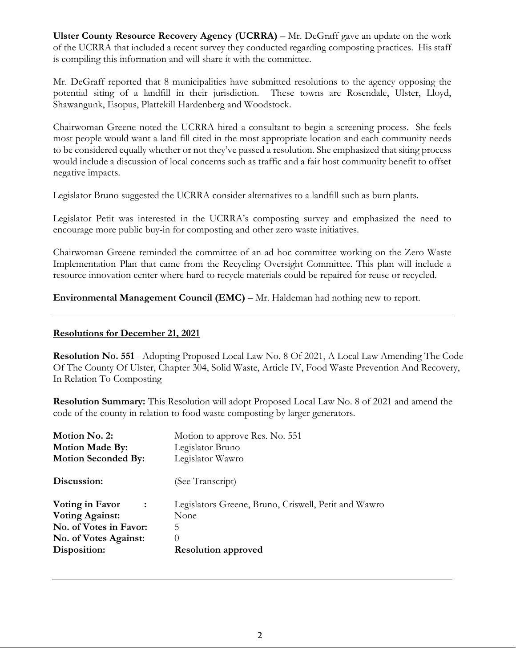**Ulster County Resource Recovery Agency (UCRRA)** – Mr. DeGraff gave an update on the work of the UCRRA that included a recent survey they conducted regarding composting practices. His staff is compiling this information and will share it with the committee.

Mr. DeGraff reported that 8 municipalities have submitted resolutions to the agency opposing the potential siting of a landfill in their jurisdiction. These towns are Rosendale, Ulster, Lloyd, Shawangunk, Esopus, Plattekill Hardenberg and Woodstock.

Chairwoman Greene noted the UCRRA hired a consultant to begin a screening process. She feels most people would want a land fill cited in the most appropriate location and each community needs to be considered equally whether or not they've passed a resolution. She emphasized that siting process would include a discussion of local concerns such as traffic and a fair host community benefit to offset negative impacts.

Legislator Bruno suggested the UCRRA consider alternatives to a landfill such as burn plants.

Legislator Petit was interested in the UCRRA's composting survey and emphasized the need to encourage more public buy-in for composting and other zero waste initiatives.

Chairwoman Greene reminded the committee of an ad hoc committee working on the Zero Waste Implementation Plan that came from the Recycling Oversight Committee. This plan will include a resource innovation center where hard to recycle materials could be repaired for reuse or recycled.

**Environmental Management Council (EMC)** – Mr. Haldeman had nothing new to report.

#### **Resolutions for December 21, 2021**

**Resolution No. 551** - Adopting Proposed Local Law No. 8 Of 2021, A Local Law Amending The Code Of The County Of Ulster, Chapter 304, Solid Waste, Article IV, Food Waste Prevention And Recovery, In Relation To Composting

**Resolution Summary:** This Resolution will adopt Proposed Local Law No. 8 of 2021 and amend the code of the county in relation to food waste composting by larger generators.

| Motion No. 2:<br><b>Motion Made By:</b><br><b>Motion Seconded By:</b>                                                    | Motion to approve Res. No. 551<br>Legislator Bruno<br>Legislator Wawro                                       |
|--------------------------------------------------------------------------------------------------------------------------|--------------------------------------------------------------------------------------------------------------|
| Discussion:                                                                                                              | (See Transcript)                                                                                             |
| Voting in Favor<br>$\sim$ :<br><b>Voting Against:</b><br>No. of Votes in Favor:<br>No. of Votes Against:<br>Disposition: | Legislators Greene, Bruno, Criswell, Petit and Wawro<br>None<br>5.<br>$\theta$<br><b>Resolution approved</b> |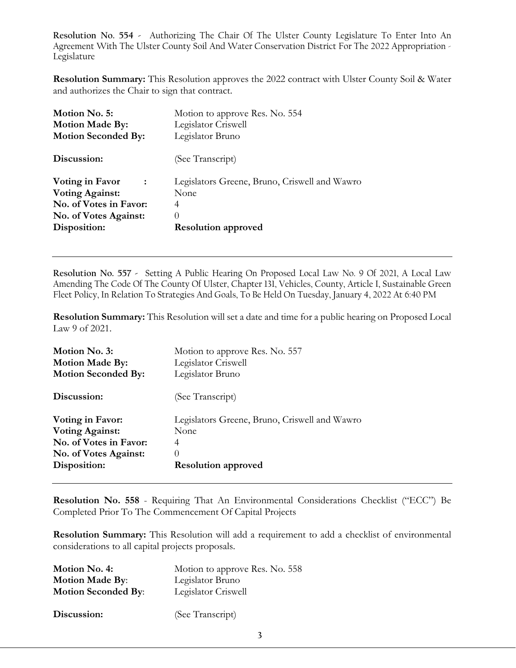**Resolution No. 554 -** Authorizing The Chair Of The Ulster County Legislature To Enter Into An Agreement With The Ulster County Soil And Water Conservation District For The 2022 Appropriation - Legislature

**Resolution Summary:** This Resolution approves the 2022 contract with Ulster County Soil & Water and authorizes the Chair to sign that contract.

| Motion No. 5:                     | Motion to approve Res. No. 554                |
|-----------------------------------|-----------------------------------------------|
| <b>Motion Made By:</b>            | Legislator Criswell                           |
| <b>Motion Seconded By:</b>        | Legislator Bruno                              |
| Discussion:                       | (See Transcript)                              |
| Voting in Favor<br>$\ddot{\cdot}$ | Legislators Greene, Bruno, Criswell and Wawro |
| <b>Voting Against:</b>            | None                                          |
| No. of Votes in Favor:            | 4                                             |
| No. of Votes Against:             | $\theta$                                      |
| Disposition:                      | <b>Resolution approved</b>                    |

**Resolution No. 557 -** Setting A Public Hearing On Proposed Local Law No. 9 Of 2021, A Local Law Amending The Code Of The County Of Ulster, Chapter 131, Vehicles, County, Article I, Sustainable Green Fleet Policy, In Relation To Strategies And Goals, To Be Held On Tuesday, January 4, 2022 At 6:40 PM

**Resolution Summary:** This Resolution will set a date and time for a public hearing on Proposed Local Law 9 of 2021.

| Motion No. 3:              | Motion to approve Res. No. 557                |
|----------------------------|-----------------------------------------------|
| <b>Motion Made By:</b>     | Legislator Criswell                           |
| <b>Motion Seconded By:</b> | Legislator Bruno                              |
| Discussion:                | (See Transcript)                              |
| Voting in Favor:           | Legislators Greene, Bruno, Criswell and Wawro |
| <b>Voting Against:</b>     | None                                          |
| No. of Votes in Favor:     | 4                                             |
| No. of Votes Against:      | $\left( \right)$                              |
| Disposition:               | <b>Resolution approved</b>                    |

**Resolution No. 558** - Requiring That An Environmental Considerations Checklist ("ECC") Be Completed Prior To The Commencement Of Capital Projects

**Resolution Summary:** This Resolution will add a requirement to add a checklist of environmental considerations to all capital projects proposals.

| Motion No. 4:              | Motion to approve Res. No. 558 |
|----------------------------|--------------------------------|
| <b>Motion Made By:</b>     | Legislator Bruno               |
| <b>Motion Seconded By:</b> | Legislator Criswell            |
|                            |                                |
| Discussion:                | (See Transcript)               |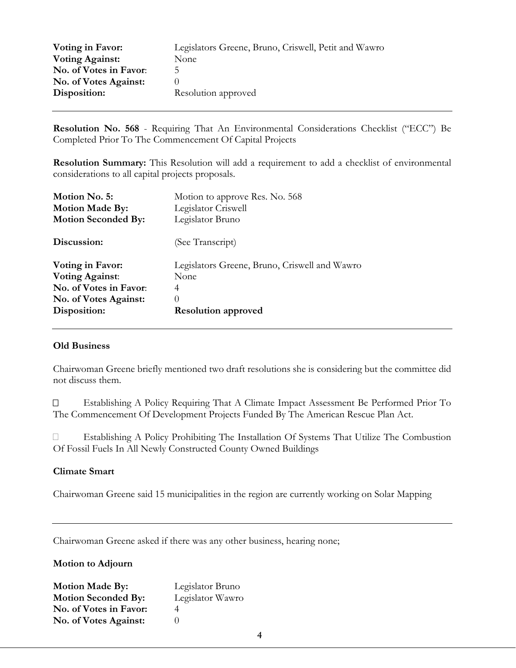| Voting in Favor:             | Legislators Greene, Bruno, Criswell, Petit and Wawro |
|------------------------------|------------------------------------------------------|
| <b>Voting Against:</b>       | None                                                 |
| No. of Votes in Favor:       | 5.                                                   |
| <b>No. of Votes Against:</b> |                                                      |
| Disposition:                 | Resolution approved                                  |

**Resolution No. 568** - Requiring That An Environmental Considerations Checklist ("ECC") Be Completed Prior To The Commencement Of Capital Projects

**Resolution Summary:** This Resolution will add a requirement to add a checklist of environmental considerations to all capital projects proposals.

| Motion No. 5:              | Motion to approve Res. No. 568                |
|----------------------------|-----------------------------------------------|
| <b>Motion Made By:</b>     | Legislator Criswell                           |
| <b>Motion Seconded By:</b> | Legislator Bruno                              |
| Discussion:                | (See Transcript)                              |
| Voting in Favor:           | Legislators Greene, Bruno, Criswell and Wawro |
| <b>Voting Against:</b>     | None                                          |
| No. of Votes in Favor:     | 4                                             |
| No. of Votes Against:      | $\theta$                                      |
| Disposition:               | <b>Resolution approved</b>                    |

#### **Old Business**

Chairwoman Greene briefly mentioned two draft resolutions she is considering but the committee did not discuss them.

 Establishing A Policy Requiring That A Climate Impact Assessment Be Performed Prior To The Commencement Of Development Projects Funded By The American Rescue Plan Act.

 Establishing A Policy Prohibiting The Installation Of Systems That Utilize The Combustion Of Fossil Fuels In All Newly Constructed County Owned Buildings

#### **Climate Smart**

Chairwoman Greene said 15 municipalities in the region are currently working on Solar Mapping

Chairwoman Greene asked if there was any other business, hearing none;

**Motion to Adjourn**

| <b>Motion Made By:</b>     | Legislator Bruno |
|----------------------------|------------------|
| <b>Motion Seconded By:</b> | Legislator Wawro |
| No. of Votes in Favor:     |                  |
| No. of Votes Against:      |                  |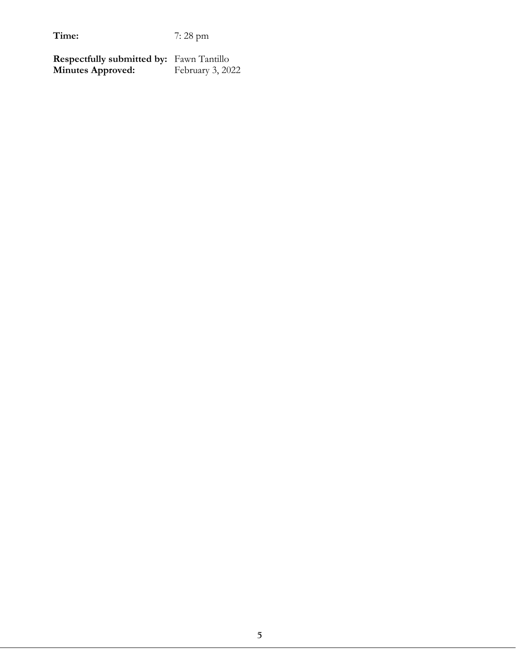**Respectfully submitted by:** Fawn Tantillo<br>**Minutes Approved:** February 3, 2022 **Minutes Approved:**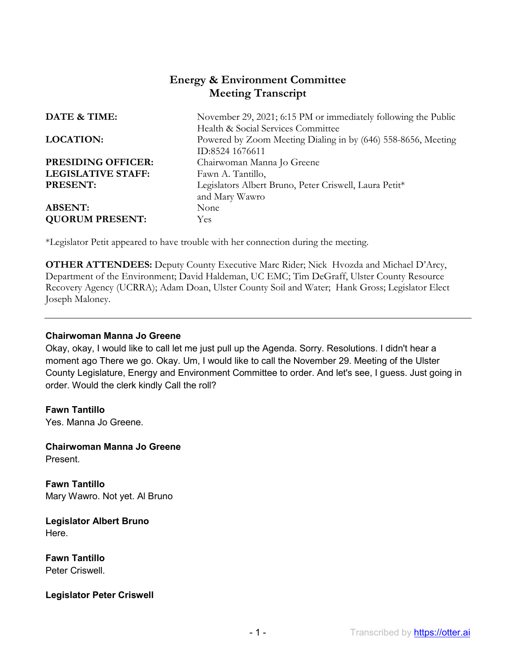# **Energy & Environment Committee Meeting Transcript**

| DATE & TIME:              | November 29, 2021; 6:15 PM or immediately following the Public |
|---------------------------|----------------------------------------------------------------|
|                           | Health & Social Services Committee                             |
| <b>LOCATION:</b>          | Powered by Zoom Meeting Dialing in by (646) 558-8656, Meeting  |
|                           | ID:8524 1676611                                                |
| PRESIDING OFFICER:        | Chairwoman Manna Jo Greene                                     |
| <b>LEGISLATIVE STAFF:</b> | Fawn A. Tantillo,                                              |
| <b>PRESENT:</b>           | Legislators Albert Bruno, Peter Criswell, Laura Petit*         |
|                           | and Mary Wawro                                                 |
| <b>ABSENT:</b>            | None                                                           |
| <b>QUORUM PRESENT:</b>    | Yes.                                                           |
|                           |                                                                |

\*Legislator Petit appeared to have trouble with her connection during the meeting.

**OTHER ATTENDEES:** Deputy County Executive Marc Rider; Nick Hvozda and Michael D'Arcy, Department of the Environment; David Haldeman, UC EMC; Tim DeGraff, Ulster County Resource Recovery Agency (UCRRA); Adam Doan, Ulster County Soil and Water; Hank Gross; Legislator Elect Joseph Maloney.

#### **Chairwoman Manna Jo Greene**

Okay, okay, I would like to call let me just pull up the Agenda. Sorry. Resolutions. I didn't hear a moment ago There we go. Okay. Um, I would like to call the November 29. Meeting of the Ulster County Legislature, Energy and Environment Committee to order. And let's see, I guess. Just going in order. Would the clerk kindly Call the roll?

**Fawn Tantillo**  Yes. Manna Jo Greene.

**Chairwoman Manna Jo Greene**  Present.

**Fawn Tantillo**  Mary Wawro. Not yet. Al Bruno

**Legislator Albert Bruno**  Here.

**Fawn Tantillo**  Peter Criswell.

#### **Legislator Peter Criswell**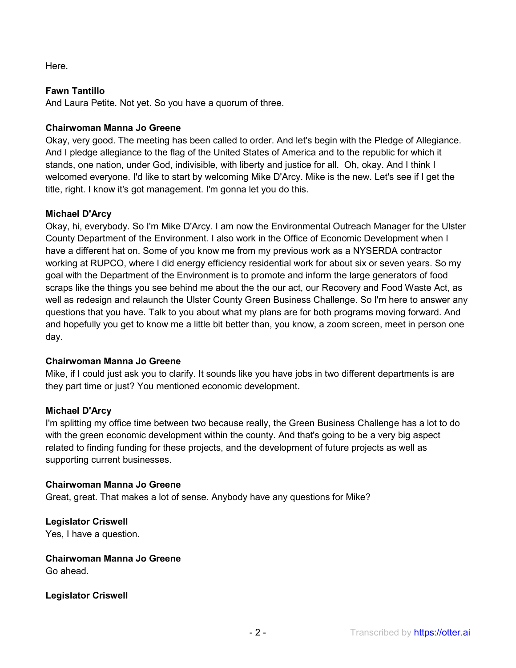Here.

# **Fawn Tantillo**

And Laura Petite. Not yet. So you have a quorum of three.

# **Chairwoman Manna Jo Greene**

Okay, very good. The meeting has been called to order. And let's begin with the Pledge of Allegiance. And I pledge allegiance to the flag of the United States of America and to the republic for which it stands, one nation, under God, indivisible, with liberty and justice for all. Oh, okay. And I think I welcomed everyone. I'd like to start by welcoming Mike D'Arcy. Mike is the new. Let's see if I get the title, right. I know it's got management. I'm gonna let you do this.

# **Michael D'Arcy**

Okay, hi, everybody. So I'm Mike D'Arcy. I am now the Environmental Outreach Manager for the Ulster County Department of the Environment. I also work in the Office of Economic Development when I have a different hat on. Some of you know me from my previous work as a NYSERDA contractor working at RUPCO, where I did energy efficiency residential work for about six or seven years. So my goal with the Department of the Environment is to promote and inform the large generators of food scraps like the things you see behind me about the the our act, our Recovery and Food Waste Act, as well as redesign and relaunch the Ulster County Green Business Challenge. So I'm here to answer any questions that you have. Talk to you about what my plans are for both programs moving forward. And and hopefully you get to know me a little bit better than, you know, a zoom screen, meet in person one day.

# **Chairwoman Manna Jo Greene**

Mike, if I could just ask you to clarify. It sounds like you have jobs in two different departments is are they part time or just? You mentioned economic development.

# **Michael D'Arcy**

I'm splitting my office time between two because really, the Green Business Challenge has a lot to do with the green economic development within the county. And that's going to be a very big aspect related to finding funding for these projects, and the development of future projects as well as supporting current businesses.

# **Chairwoman Manna Jo Greene**

Great, great. That makes a lot of sense. Anybody have any questions for Mike?

**Legislator Criswell**  Yes, I have a question.

# **Chairwoman Manna Jo Greene**

Go ahead.

**Legislator Criswell**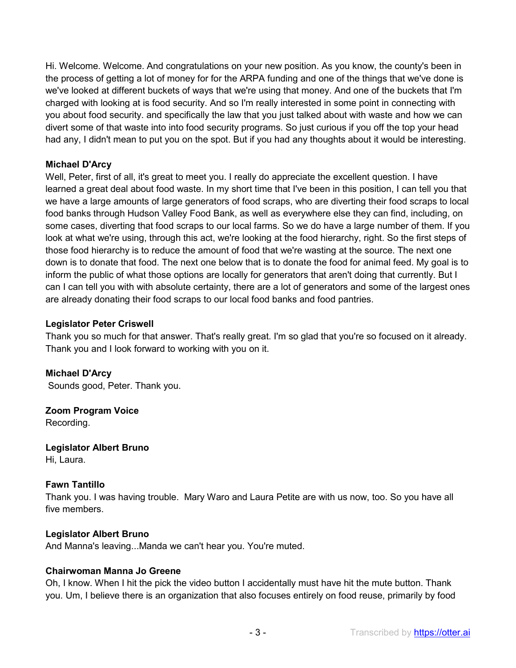Hi. Welcome. Welcome. And congratulations on your new position. As you know, the county's been in the process of getting a lot of money for for the ARPA funding and one of the things that we've done is we've looked at different buckets of ways that we're using that money. And one of the buckets that I'm charged with looking at is food security. And so I'm really interested in some point in connecting with you about food security. and specifically the law that you just talked about with waste and how we can divert some of that waste into into food security programs. So just curious if you off the top your head had any, I didn't mean to put you on the spot. But if you had any thoughts about it would be interesting.

## **Michael D'Arcy**

Well, Peter, first of all, it's great to meet you. I really do appreciate the excellent question. I have learned a great deal about food waste. In my short time that I've been in this position, I can tell you that we have a large amounts of large generators of food scraps, who are diverting their food scraps to local food banks through Hudson Valley Food Bank, as well as everywhere else they can find, including, on some cases, diverting that food scraps to our local farms. So we do have a large number of them. If you look at what we're using, through this act, we're looking at the food hierarchy, right. So the first steps of those food hierarchy is to reduce the amount of food that we're wasting at the source. The next one down is to donate that food. The next one below that is to donate the food for animal feed. My goal is to inform the public of what those options are locally for generators that aren't doing that currently. But I can I can tell you with with absolute certainty, there are a lot of generators and some of the largest ones are already donating their food scraps to our local food banks and food pantries.

#### **Legislator Peter Criswell**

Thank you so much for that answer. That's really great. I'm so glad that you're so focused on it already. Thank you and I look forward to working with you on it.

**Michael D'Arcy**  Sounds good, Peter. Thank you.

**Zoom Program Voice**  Recording.

**Legislator Albert Bruno**  Hi, Laura.

# **Fawn Tantillo**

Thank you. I was having trouble. Mary Waro and Laura Petite are with us now, too. So you have all five members.

#### **Legislator Albert Bruno**

And Manna's leaving...Manda we can't hear you. You're muted.

#### **Chairwoman Manna Jo Greene**

Oh, I know. When I hit the pick the video button I accidentally must have hit the mute button. Thank you. Um, I believe there is an organization that also focuses entirely on food reuse, primarily by food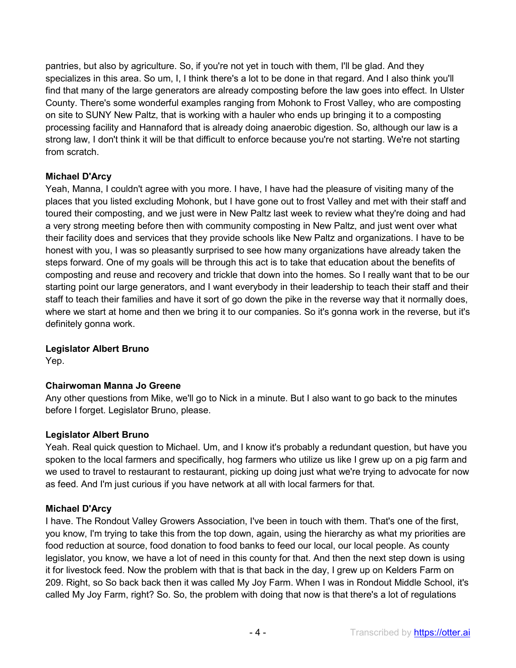pantries, but also by agriculture. So, if you're not yet in touch with them, I'll be glad. And they specializes in this area. So um, I, I think there's a lot to be done in that regard. And I also think you'll find that many of the large generators are already composting before the law goes into effect. In Ulster County. There's some wonderful examples ranging from Mohonk to Frost Valley, who are composting on site to SUNY New Paltz, that is working with a hauler who ends up bringing it to a composting processing facility and Hannaford that is already doing anaerobic digestion. So, although our law is a strong law, I don't think it will be that difficult to enforce because you're not starting. We're not starting from scratch.

# **Michael D'Arcy**

Yeah, Manna, I couldn't agree with you more. I have, I have had the pleasure of visiting many of the places that you listed excluding Mohonk, but I have gone out to frost Valley and met with their staff and toured their composting, and we just were in New Paltz last week to review what they're doing and had a very strong meeting before then with community composting in New Paltz, and just went over what their facility does and services that they provide schools like New Paltz and organizations. I have to be honest with you, I was so pleasantly surprised to see how many organizations have already taken the steps forward. One of my goals will be through this act is to take that education about the benefits of composting and reuse and recovery and trickle that down into the homes. So I really want that to be our starting point our large generators, and I want everybody in their leadership to teach their staff and their staff to teach their families and have it sort of go down the pike in the reverse way that it normally does, where we start at home and then we bring it to our companies. So it's gonna work in the reverse, but it's definitely gonna work.

#### **Legislator Albert Bruno**

Yep.

# **Chairwoman Manna Jo Greene**

Any other questions from Mike, we'll go to Nick in a minute. But I also want to go back to the minutes before I forget. Legislator Bruno, please.

#### **Legislator Albert Bruno**

Yeah. Real quick question to Michael. Um, and I know it's probably a redundant question, but have you spoken to the local farmers and specifically, hog farmers who utilize us like I grew up on a pig farm and we used to travel to restaurant to restaurant, picking up doing just what we're trying to advocate for now as feed. And I'm just curious if you have network at all with local farmers for that.

#### **Michael D'Arcy**

I have. The Rondout Valley Growers Association, I've been in touch with them. That's one of the first, you know, I'm trying to take this from the top down, again, using the hierarchy as what my priorities are food reduction at source, food donation to food banks to feed our local, our local people. As county legislator, you know, we have a lot of need in this county for that. And then the next step down is using it for livestock feed. Now the problem with that is that back in the day, I grew up on Kelders Farm on 209. Right, so So back back then it was called My Joy Farm. When I was in Rondout Middle School, it's called My Joy Farm, right? So. So, the problem with doing that now is that there's a lot of regulations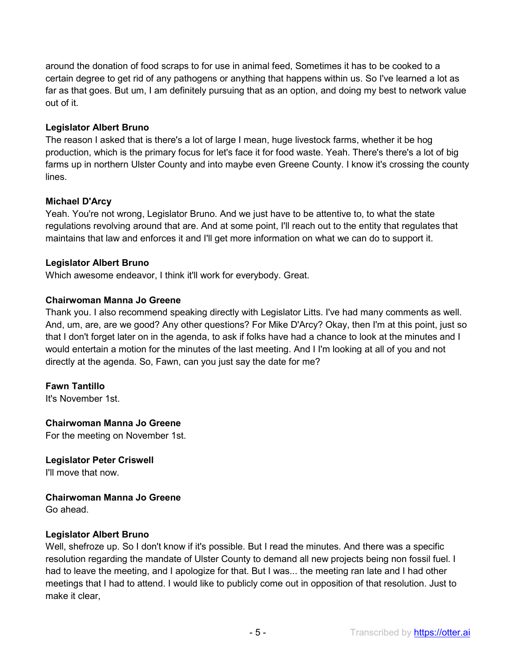around the donation of food scraps to for use in animal feed, Sometimes it has to be cooked to a certain degree to get rid of any pathogens or anything that happens within us. So I've learned a lot as far as that goes. But um, I am definitely pursuing that as an option, and doing my best to network value out of it.

## **Legislator Albert Bruno**

The reason I asked that is there's a lot of large I mean, huge livestock farms, whether it be hog production, which is the primary focus for let's face it for food waste. Yeah. There's there's a lot of big farms up in northern Ulster County and into maybe even Greene County. I know it's crossing the county lines.

## **Michael D'Arcy**

Yeah. You're not wrong, Legislator Bruno. And we just have to be attentive to, to what the state regulations revolving around that are. And at some point, I'll reach out to the entity that regulates that maintains that law and enforces it and I'll get more information on what we can do to support it.

## **Legislator Albert Bruno**

Which awesome endeavor, I think it'll work for everybody. Great.

# **Chairwoman Manna Jo Greene**

Thank you. I also recommend speaking directly with Legislator Litts. I've had many comments as well. And, um, are, are we good? Any other questions? For Mike D'Arcy? Okay, then I'm at this point, just so that I don't forget later on in the agenda, to ask if folks have had a chance to look at the minutes and I would entertain a motion for the minutes of the last meeting. And I I'm looking at all of you and not directly at the agenda. So, Fawn, can you just say the date for me?

# **Fawn Tantillo**

It's November 1st.

#### **Chairwoman Manna Jo Greene**

For the meeting on November 1st.

**Legislator Peter Criswell**  I'll move that now.

# **Chairwoman Manna Jo Greene**

Go ahead.

#### **Legislator Albert Bruno**

Well, shefroze up. So I don't know if it's possible. But I read the minutes. And there was a specific resolution regarding the mandate of Ulster County to demand all new projects being non fossil fuel. I had to leave the meeting, and I apologize for that. But I was... the meeting ran late and I had other meetings that I had to attend. I would like to publicly come out in opposition of that resolution. Just to make it clear,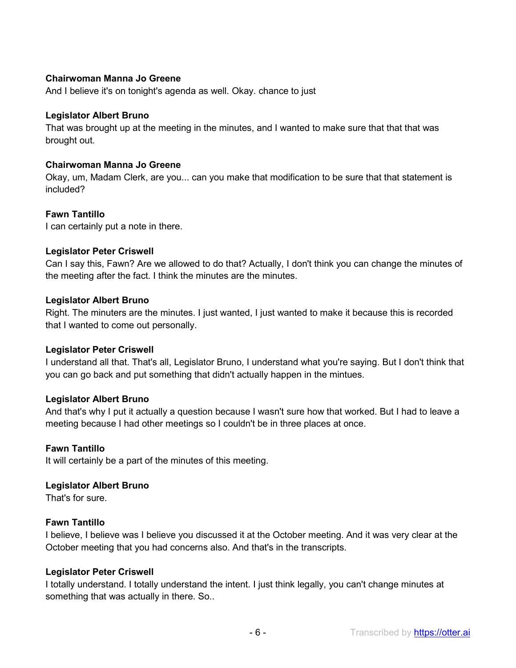## **Chairwoman Manna Jo Greene**

And I believe it's on tonight's agenda as well. Okay. chance to just

#### **Legislator Albert Bruno**

That was brought up at the meeting in the minutes, and I wanted to make sure that that that was brought out.

#### **Chairwoman Manna Jo Greene**

Okay, um, Madam Clerk, are you... can you make that modification to be sure that that statement is included?

#### **Fawn Tantillo**

I can certainly put a note in there.

#### **Legislator Peter Criswell**

Can I say this, Fawn? Are we allowed to do that? Actually, I don't think you can change the minutes of the meeting after the fact. I think the minutes are the minutes.

#### **Legislator Albert Bruno**

Right. The minuters are the minutes. I just wanted, I just wanted to make it because this is recorded that I wanted to come out personally.

#### **Legislator Peter Criswell**

I understand all that. That's all, Legislator Bruno, I understand what you're saying. But I don't think that you can go back and put something that didn't actually happen in the mintues.

#### **Legislator Albert Bruno**

And that's why I put it actually a question because I wasn't sure how that worked. But I had to leave a meeting because I had other meetings so I couldn't be in three places at once.

#### **Fawn Tantillo**

It will certainly be a part of the minutes of this meeting.

#### **Legislator Albert Bruno**

That's for sure.

#### **Fawn Tantillo**

I believe, I believe was I believe you discussed it at the October meeting. And it was very clear at the October meeting that you had concerns also. And that's in the transcripts.

#### **Legislator Peter Criswell**

I totally understand. I totally understand the intent. I just think legally, you can't change minutes at something that was actually in there. So..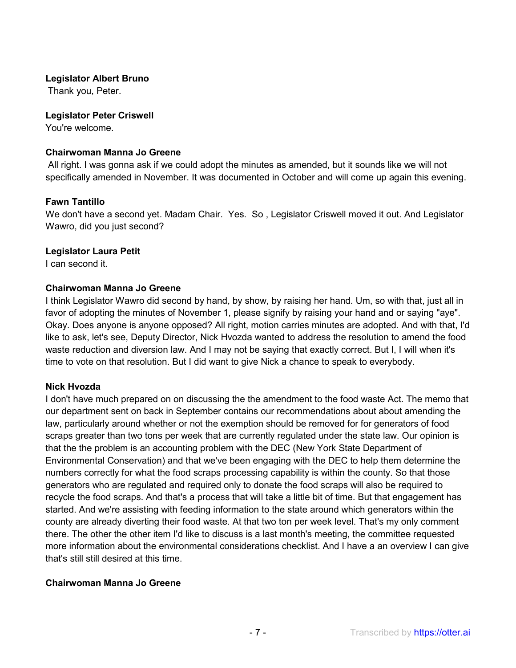## **Legislator Albert Bruno**

Thank you, Peter.

#### **Legislator Peter Criswell**

You're welcome.

#### **Chairwoman Manna Jo Greene**

All right. I was gonna ask if we could adopt the minutes as amended, but it sounds like we will not specifically amended in November. It was documented in October and will come up again this evening.

## **Fawn Tantillo**

We don't have a second yet. Madam Chair. Yes. So , Legislator Criswell moved it out. And Legislator Wawro, did you just second?

#### **Legislator Laura Petit**

I can second it.

#### **Chairwoman Manna Jo Greene**

I think Legislator Wawro did second by hand, by show, by raising her hand. Um, so with that, just all in favor of adopting the minutes of November 1, please signify by raising your hand and or saying "aye". Okay. Does anyone is anyone opposed? All right, motion carries minutes are adopted. And with that, I'd like to ask, let's see, Deputy Director, Nick Hvozda wanted to address the resolution to amend the food waste reduction and diversion law. And I may not be saying that exactly correct. But I, I will when it's time to vote on that resolution. But I did want to give Nick a chance to speak to everybody.

#### **Nick Hvozda**

I don't have much prepared on on discussing the the amendment to the food waste Act. The memo that our department sent on back in September contains our recommendations about about amending the law, particularly around whether or not the exemption should be removed for for generators of food scraps greater than two tons per week that are currently regulated under the state law. Our opinion is that the the problem is an accounting problem with the DEC (New York State Department of Environmental Conservation) and that we've been engaging with the DEC to help them determine the numbers correctly for what the food scraps processing capability is within the county. So that those generators who are regulated and required only to donate the food scraps will also be required to recycle the food scraps. And that's a process that will take a little bit of time. But that engagement has started. And we're assisting with feeding information to the state around which generators within the county are already diverting their food waste. At that two ton per week level. That's my only comment there. The other the other item I'd like to discuss is a last month's meeting, the committee requested more information about the environmental considerations checklist. And I have a an overview I can give that's still still desired at this time.

#### **Chairwoman Manna Jo Greene**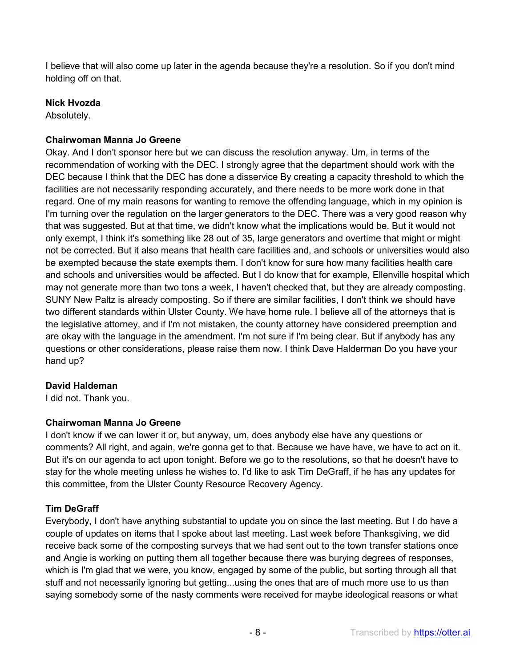I believe that will also come up later in the agenda because they're a resolution. So if you don't mind holding off on that.

## **Nick Hvozda**

Absolutely.

## **Chairwoman Manna Jo Greene**

Okay. And I don't sponsor here but we can discuss the resolution anyway. Um, in terms of the recommendation of working with the DEC. I strongly agree that the department should work with the DEC because I think that the DEC has done a disservice By creating a capacity threshold to which the facilities are not necessarily responding accurately, and there needs to be more work done in that regard. One of my main reasons for wanting to remove the offending language, which in my opinion is I'm turning over the regulation on the larger generators to the DEC. There was a very good reason why that was suggested. But at that time, we didn't know what the implications would be. But it would not only exempt, I think it's something like 28 out of 35, large generators and overtime that might or might not be corrected. But it also means that health care facilities and, and schools or universities would also be exempted because the state exempts them. I don't know for sure how many facilities health care and schools and universities would be affected. But I do know that for example, Ellenville hospital which may not generate more than two tons a week, I haven't checked that, but they are already composting. SUNY New Paltz is already composting. So if there are similar facilities, I don't think we should have two different standards within Ulster County. We have home rule. I believe all of the attorneys that is the legislative attorney, and if I'm not mistaken, the county attorney have considered preemption and are okay with the language in the amendment. I'm not sure if I'm being clear. But if anybody has any questions or other considerations, please raise them now. I think Dave Halderman Do you have your hand up?

#### **David Haldeman**

I did not. Thank you.

# **Chairwoman Manna Jo Greene**

I don't know if we can lower it or, but anyway, um, does anybody else have any questions or comments? All right, and again, we're gonna get to that. Because we have have, we have to act on it. But it's on our agenda to act upon tonight. Before we go to the resolutions, so that he doesn't have to stay for the whole meeting unless he wishes to. I'd like to ask Tim DeGraff, if he has any updates for this committee, from the Ulster County Resource Recovery Agency.

#### **Tim DeGraff**

Everybody, I don't have anything substantial to update you on since the last meeting. But I do have a couple of updates on items that I spoke about last meeting. Last week before Thanksgiving, we did receive back some of the composting surveys that we had sent out to the town transfer stations once and Angie is working on putting them all together because there was burying degrees of responses, which is I'm glad that we were, you know, engaged by some of the public, but sorting through all that stuff and not necessarily ignoring but getting...using the ones that are of much more use to us than saying somebody some of the nasty comments were received for maybe ideological reasons or what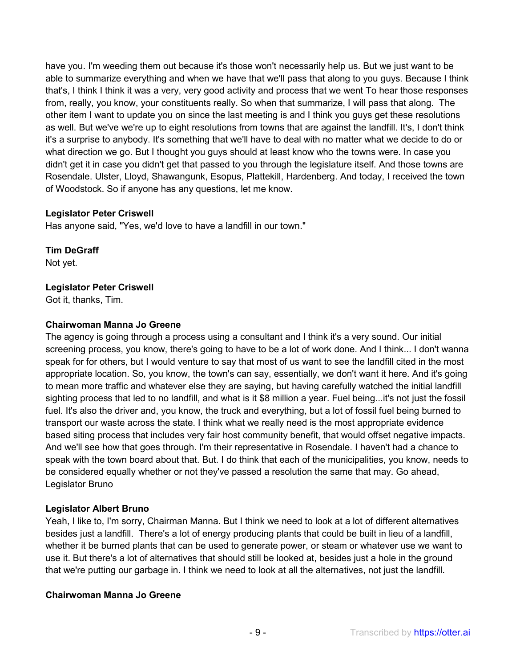have you. I'm weeding them out because it's those won't necessarily help us. But we just want to be able to summarize everything and when we have that we'll pass that along to you guys. Because I think that's, I think I think it was a very, very good activity and process that we went To hear those responses from, really, you know, your constituents really. So when that summarize, I will pass that along. The other item I want to update you on since the last meeting is and I think you guys get these resolutions as well. But we've we're up to eight resolutions from towns that are against the landfill. It's, I don't think it's a surprise to anybody. It's something that we'll have to deal with no matter what we decide to do or what direction we go. But I thought you guys should at least know who the towns were. In case you didn't get it in case you didn't get that passed to you through the legislature itself. And those towns are Rosendale. Ulster, Lloyd, Shawangunk, Esopus, Plattekill, Hardenberg. And today, I received the town of Woodstock. So if anyone has any questions, let me know.

## **Legislator Peter Criswell**

Has anyone said, "Yes, we'd love to have a landfill in our town."

**Tim DeGraff**  Not yet.

# **Legislator Peter Criswell**

Got it, thanks, Tim.

## **Chairwoman Manna Jo Greene**

The agency is going through a process using a consultant and I think it's a very sound. Our initial screening process, you know, there's going to have to be a lot of work done. And I think... I don't wanna speak for for others, but I would venture to say that most of us want to see the landfill cited in the most appropriate location. So, you know, the town's can say, essentially, we don't want it here. And it's going to mean more traffic and whatever else they are saying, but having carefully watched the initial landfill sighting process that led to no landfill, and what is it \$8 million a year. Fuel being...it's not just the fossil fuel. It's also the driver and, you know, the truck and everything, but a lot of fossil fuel being burned to transport our waste across the state. I think what we really need is the most appropriate evidence based siting process that includes very fair host community benefit, that would offset negative impacts. And we'll see how that goes through. I'm their representative in Rosendale. I haven't had a chance to speak with the town board about that. But. I do think that each of the municipalities, you know, needs to be considered equally whether or not they've passed a resolution the same that may. Go ahead, Legislator Bruno

#### **Legislator Albert Bruno**

Yeah, I like to, I'm sorry, Chairman Manna. But I think we need to look at a lot of different alternatives besides just a landfill. There's a lot of energy producing plants that could be built in lieu of a landfill, whether it be burned plants that can be used to generate power, or steam or whatever use we want to use it. But there's a lot of alternatives that should still be looked at, besides just a hole in the ground that we're putting our garbage in. I think we need to look at all the alternatives, not just the landfill.

#### **Chairwoman Manna Jo Greene**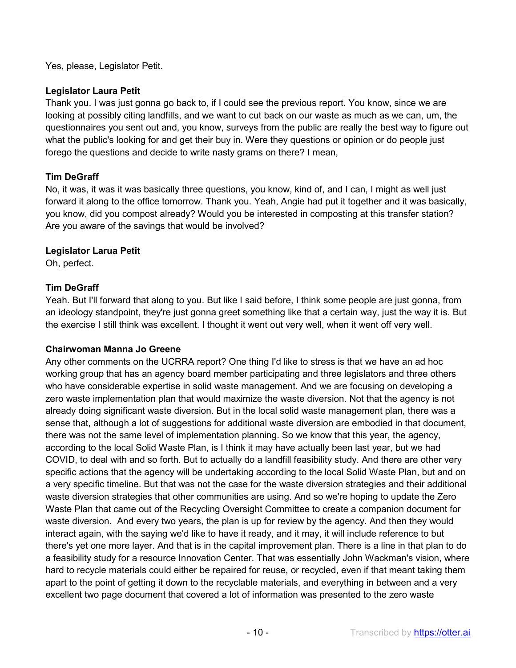Yes, please, Legislator Petit.

## **Legislator Laura Petit**

Thank you. I was just gonna go back to, if I could see the previous report. You know, since we are looking at possibly citing landfills, and we want to cut back on our waste as much as we can, um, the questionnaires you sent out and, you know, surveys from the public are really the best way to figure out what the public's looking for and get their buy in. Were they questions or opinion or do people just forego the questions and decide to write nasty grams on there? I mean,

# **Tim DeGraff**

No, it was, it was it was basically three questions, you know, kind of, and I can, I might as well just forward it along to the office tomorrow. Thank you. Yeah, Angie had put it together and it was basically, you know, did you compost already? Would you be interested in composting at this transfer station? Are you aware of the savings that would be involved?

# **Legislator Larua Petit**

Oh, perfect.

# **Tim DeGraff**

Yeah. But I'll forward that along to you. But like I said before, I think some people are just gonna, from an ideology standpoint, they're just gonna greet something like that a certain way, just the way it is. But the exercise I still think was excellent. I thought it went out very well, when it went off very well.

#### **Chairwoman Manna Jo Greene**

Any other comments on the UCRRA report? One thing I'd like to stress is that we have an ad hoc working group that has an agency board member participating and three legislators and three others who have considerable expertise in solid waste management. And we are focusing on developing a zero waste implementation plan that would maximize the waste diversion. Not that the agency is not already doing significant waste diversion. But in the local solid waste management plan, there was a sense that, although a lot of suggestions for additional waste diversion are embodied in that document, there was not the same level of implementation planning. So we know that this year, the agency, according to the local Solid Waste Plan, is I think it may have actually been last year, but we had COVID, to deal with and so forth. But to actually do a landfill feasibility study. And there are other very specific actions that the agency will be undertaking according to the local Solid Waste Plan, but and on a very specific timeline. But that was not the case for the waste diversion strategies and their additional waste diversion strategies that other communities are using. And so we're hoping to update the Zero Waste Plan that came out of the Recycling Oversight Committee to create a companion document for waste diversion. And every two years, the plan is up for review by the agency. And then they would interact again, with the saying we'd like to have it ready, and it may, it will include reference to but there's yet one more layer. And that is in the capital improvement plan. There is a line in that plan to do a feasibility study for a resource Innovation Center. That was essentially John Wackman's vision, where hard to recycle materials could either be repaired for reuse, or recycled, even if that meant taking them apart to the point of getting it down to the recyclable materials, and everything in between and a very excellent two page document that covered a lot of information was presented to the zero waste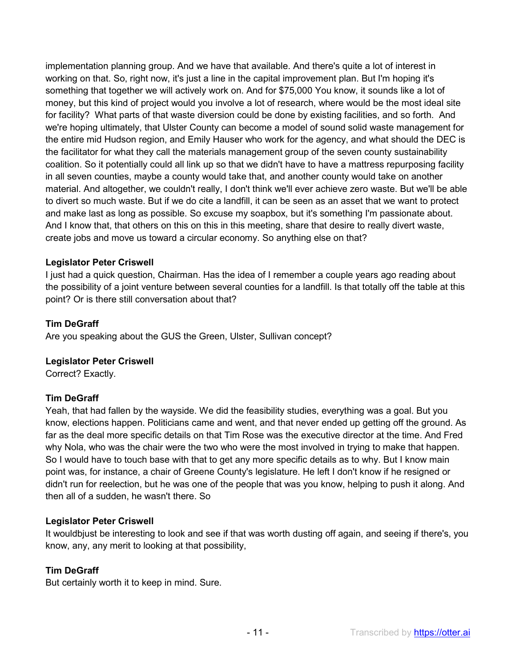implementation planning group. And we have that available. And there's quite a lot of interest in working on that. So, right now, it's just a line in the capital improvement plan. But I'm hoping it's something that together we will actively work on. And for \$75,000 You know, it sounds like a lot of money, but this kind of project would you involve a lot of research, where would be the most ideal site for facility? What parts of that waste diversion could be done by existing facilities, and so forth. And we're hoping ultimately, that Ulster County can become a model of sound solid waste management for the entire mid Hudson region, and Emily Hauser who work for the agency, and what should the DEC is the facilitator for what they call the materials management group of the seven county sustainability coalition. So it potentially could all link up so that we didn't have to have a mattress repurposing facility in all seven counties, maybe a county would take that, and another county would take on another material. And altogether, we couldn't really, I don't think we'll ever achieve zero waste. But we'll be able to divert so much waste. But if we do cite a landfill, it can be seen as an asset that we want to protect and make last as long as possible. So excuse my soapbox, but it's something I'm passionate about. And I know that, that others on this on this in this meeting, share that desire to really divert waste, create jobs and move us toward a circular economy. So anything else on that?

## **Legislator Peter Criswell**

I just had a quick question, Chairman. Has the idea of I remember a couple years ago reading about the possibility of a joint venture between several counties for a landfill. Is that totally off the table at this point? Or is there still conversation about that?

#### **Tim DeGraff**

Are you speaking about the GUS the Green, Ulster, Sullivan concept?

#### **Legislator Peter Criswell**

Correct? Exactly.

#### **Tim DeGraff**

Yeah, that had fallen by the wayside. We did the feasibility studies, everything was a goal. But you know, elections happen. Politicians came and went, and that never ended up getting off the ground. As far as the deal more specific details on that Tim Rose was the executive director at the time. And Fred why Nola, who was the chair were the two who were the most involved in trying to make that happen. So I would have to touch base with that to get any more specific details as to why. But I know main point was, for instance, a chair of Greene County's legislature. He left I don't know if he resigned or didn't run for reelection, but he was one of the people that was you know, helping to push it along. And then all of a sudden, he wasn't there. So

#### **Legislator Peter Criswell**

It wouldbjust be interesting to look and see if that was worth dusting off again, and seeing if there's, you know, any, any merit to looking at that possibility,

#### **Tim DeGraff**

But certainly worth it to keep in mind. Sure.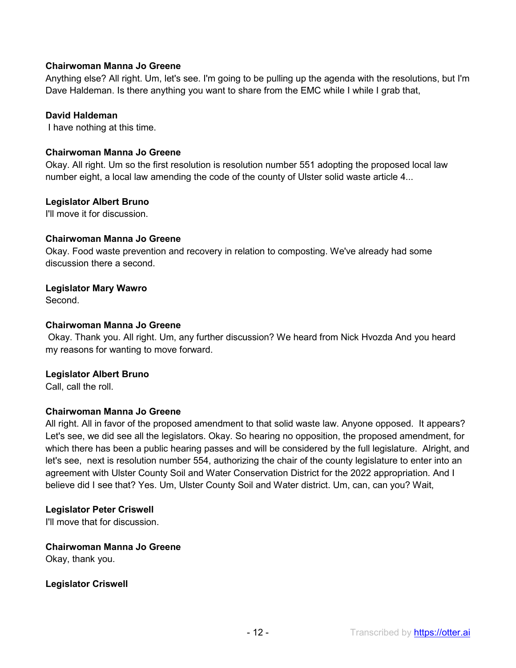## **Chairwoman Manna Jo Greene**

Anything else? All right. Um, let's see. I'm going to be pulling up the agenda with the resolutions, but I'm Dave Haldeman. Is there anything you want to share from the EMC while I while I grab that,

## **David Haldeman**

I have nothing at this time.

#### **Chairwoman Manna Jo Greene**

Okay. All right. Um so the first resolution is resolution number 551 adopting the proposed local law number eight, a local law amending the code of the county of Ulster solid waste article 4...

#### **Legislator Albert Bruno**

I'll move it for discussion.

#### **Chairwoman Manna Jo Greene**

Okay. Food waste prevention and recovery in relation to composting. We've already had some discussion there a second.

## **Legislator Mary Wawro**

Second.

## **Chairwoman Manna Jo Greene**

Okay. Thank you. All right. Um, any further discussion? We heard from Nick Hvozda And you heard my reasons for wanting to move forward.

#### **Legislator Albert Bruno**

Call, call the roll.

#### **Chairwoman Manna Jo Greene**

All right. All in favor of the proposed amendment to that solid waste law. Anyone opposed. It appears? Let's see, we did see all the legislators. Okay. So hearing no opposition, the proposed amendment, for which there has been a public hearing passes and will be considered by the full legislature. Alright, and let's see, next is resolution number 554, authorizing the chair of the county legislature to enter into an agreement with Ulster County Soil and Water Conservation District for the 2022 appropriation. And I believe did I see that? Yes. Um, Ulster County Soil and Water district. Um, can, can you? Wait,

#### **Legislator Peter Criswell**

I'll move that for discussion.

**Chairwoman Manna Jo Greene**  Okay, thank you.

**Legislator Criswell**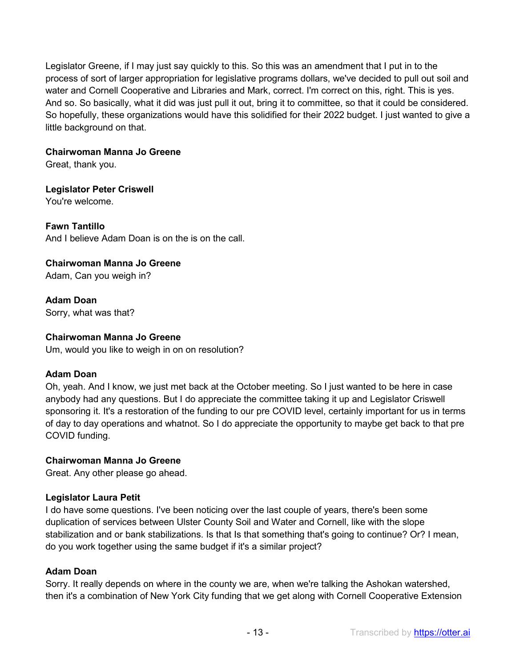Legislator Greene, if I may just say quickly to this. So this was an amendment that I put in to the process of sort of larger appropriation for legislative programs dollars, we've decided to pull out soil and water and Cornell Cooperative and Libraries and Mark, correct. I'm correct on this, right. This is yes. And so. So basically, what it did was just pull it out, bring it to committee, so that it could be considered. So hopefully, these organizations would have this solidified for their 2022 budget. I just wanted to give a little background on that.

# **Chairwoman Manna Jo Greene**

Great, thank you.

# **Legislator Peter Criswell**

You're welcome.

# **Fawn Tantillo**

And I believe Adam Doan is on the is on the call.

# **Chairwoman Manna Jo Greene**

Adam, Can you weigh in?

**Adam Doan**  Sorry, what was that?

## **Chairwoman Manna Jo Greene**

Um, would you like to weigh in on on resolution?

# **Adam Doan**

Oh, yeah. And I know, we just met back at the October meeting. So I just wanted to be here in case anybody had any questions. But I do appreciate the committee taking it up and Legislator Criswell sponsoring it. It's a restoration of the funding to our pre COVID level, certainly important for us in terms of day to day operations and whatnot. So I do appreciate the opportunity to maybe get back to that pre COVID funding.

# **Chairwoman Manna Jo Greene**

Great. Any other please go ahead.

# **Legislator Laura Petit**

I do have some questions. I've been noticing over the last couple of years, there's been some duplication of services between Ulster County Soil and Water and Cornell, like with the slope stabilization and or bank stabilizations. Is that Is that something that's going to continue? Or? I mean, do you work together using the same budget if it's a similar project?

# **Adam Doan**

Sorry. It really depends on where in the county we are, when we're talking the Ashokan watershed, then it's a combination of New York City funding that we get along with Cornell Cooperative Extension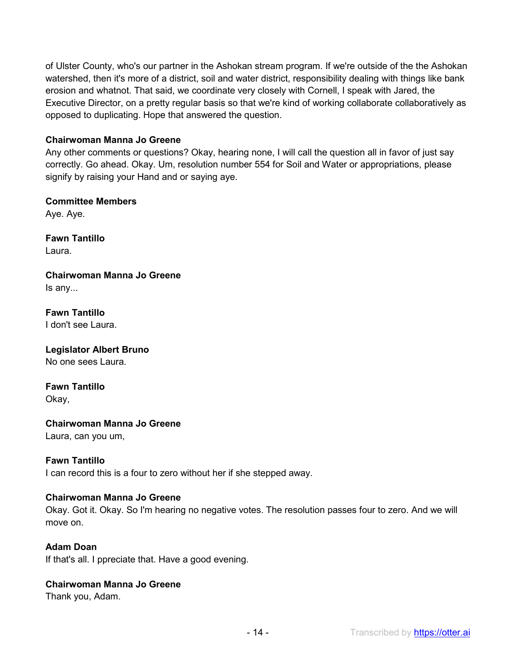of Ulster County, who's our partner in the Ashokan stream program. If we're outside of the the Ashokan watershed, then it's more of a district, soil and water district, responsibility dealing with things like bank erosion and whatnot. That said, we coordinate very closely with Cornell, I speak with Jared, the Executive Director, on a pretty regular basis so that we're kind of working collaborate collaboratively as opposed to duplicating. Hope that answered the question.

#### **Chairwoman Manna Jo Greene**

Any other comments or questions? Okay, hearing none, I will call the question all in favor of just say correctly. Go ahead. Okay. Um, resolution number 554 for Soil and Water or appropriations, please signify by raising your Hand and or saying aye.

# **Committee Members**

Aye. Aye.

**Fawn Tantillo**  Laura.

**Chairwoman Manna Jo Greene**  Is any...

**Fawn Tantillo**  I don't see Laura.

**Legislator Albert Bruno**  No one sees Laura.

**Fawn Tantillo**  Okay,

**Chairwoman Manna Jo Greene** 

Laura, can you um,

# **Fawn Tantillo**

I can record this is a four to zero without her if she stepped away.

# **Chairwoman Manna Jo Greene**

Okay. Got it. Okay. So I'm hearing no negative votes. The resolution passes four to zero. And we will move on.

## **Adam Doan**

If that's all. I ppreciate that. Have a good evening.

# **Chairwoman Manna Jo Greene**

Thank you, Adam.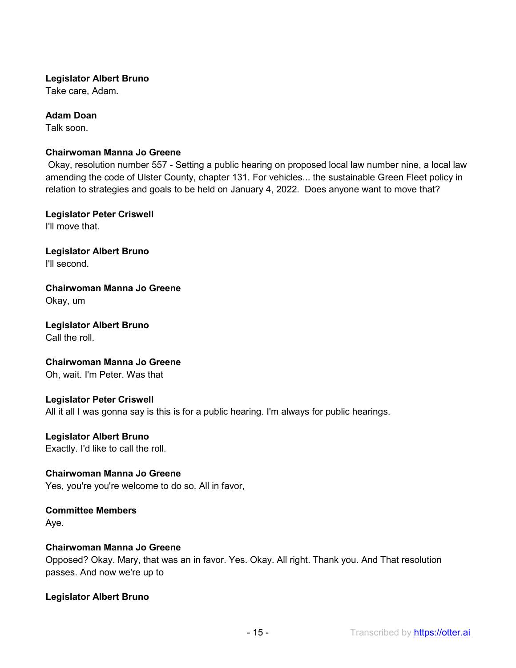#### **Legislator Albert Bruno**

Take care, Adam.

#### **Adam Doan**

Talk soon.

#### **Chairwoman Manna Jo Greene**

Okay, resolution number 557 - Setting a public hearing on proposed local law number nine, a local law amending the code of Ulster County, chapter 131. For vehicles... the sustainable Green Fleet policy in relation to strategies and goals to be held on January 4, 2022. Does anyone want to move that?

**Legislator Peter Criswell**  I'll move that.

**Legislator Albert Bruno**  I'll second.

**Chairwoman Manna Jo Greene**  Okay, um

**Legislator Albert Bruno**  Call the roll.

**Chairwoman Manna Jo Greene**  Oh, wait. I'm Peter. Was that

**Legislator Peter Criswell**  All it all I was gonna say is this is for a public hearing. I'm always for public hearings.

**Legislator Albert Bruno** 

Exactly. I'd like to call the roll.

**Chairwoman Manna Jo Greene**  Yes, you're you're welcome to do so. All in favor,

**Committee Members**  Aye.

#### **Chairwoman Manna Jo Greene**

Opposed? Okay. Mary, that was an in favor. Yes. Okay. All right. Thank you. And That resolution passes. And now we're up to

**Legislator Albert Bruno**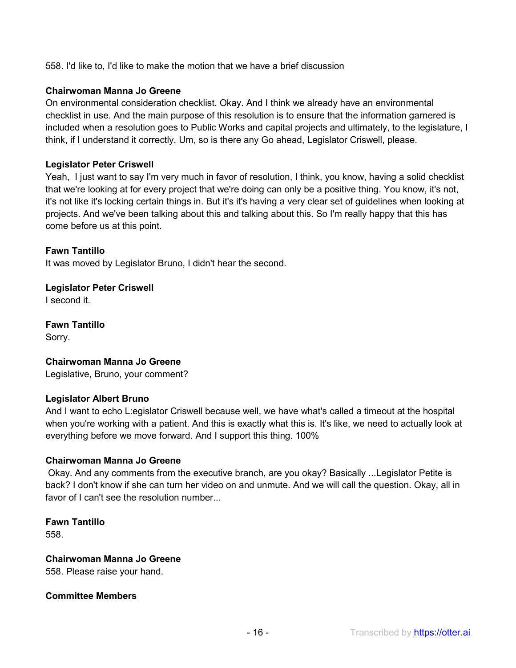558. I'd like to, I'd like to make the motion that we have a brief discussion

## **Chairwoman Manna Jo Greene**

On environmental consideration checklist. Okay. And I think we already have an environmental checklist in use. And the main purpose of this resolution is to ensure that the information garnered is included when a resolution goes to Public Works and capital projects and ultimately, to the legislature, I think, if I understand it correctly. Um, so is there any Go ahead, Legislator Criswell, please.

#### **Legislator Peter Criswell**

Yeah, I just want to say I'm very much in favor of resolution, I think, you know, having a solid checklist that we're looking at for every project that we're doing can only be a positive thing. You know, it's not, it's not like it's locking certain things in. But it's it's having a very clear set of guidelines when looking at projects. And we've been talking about this and talking about this. So I'm really happy that this has come before us at this point.

## **Fawn Tantillo**

It was moved by Legislator Bruno, I didn't hear the second.

#### **Legislator Peter Criswell**  I second it.

**Fawn Tantillo** 

Sorry.

# **Chairwoman Manna Jo Greene**

Legislative, Bruno, your comment?

#### **Legislator Albert Bruno**

And I want to echo L:egislator Criswell because well, we have what's called a timeout at the hospital when you're working with a patient. And this is exactly what this is. It's like, we need to actually look at everything before we move forward. And I support this thing. 100%

#### **Chairwoman Manna Jo Greene**

Okay. And any comments from the executive branch, are you okay? Basically ...Legislator Petite is back? I don't know if she can turn her video on and unmute. And we will call the question. Okay, all in favor of I can't see the resolution number

**Fawn Tantillo**  558.

#### **Chairwoman Manna Jo Greene**

558. Please raise your hand.

#### **Committee Members**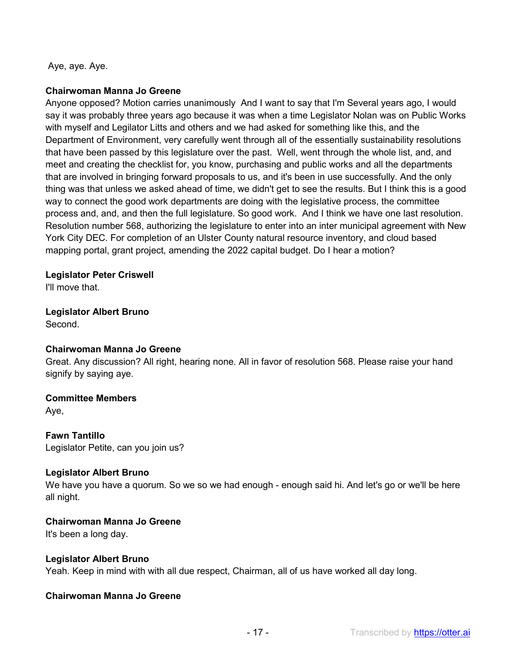Aye, aye. Aye.

#### **Chairwoman Manna Jo Greene**

Anyone opposed? Motion carries unanimously And I want to say that I'm Several years ago, I would say it was probably three years ago because it was when a time Legislator Nolan was on Public Works with myself and Legilator Litts and others and we had asked for something like this, and the Department of Environment, very carefully went through all of the essentially sustainability resolutions that have been passed by this legislature over the past. Well, went through the whole list, and, and meet and creating the checklist for, you know, purchasing and public works and all the departments that are involved in bringing forward proposals to us, and it's been in use successfully. And the only thing was that unless we asked ahead of time, we didn't get to see the results. But I think this is a good way to connect the good work departments are doing with the legislative process, the committee process and, and, and then the full legislature. So good work. And I think we have one last resolution. Resolution number 568, authorizing the legislature to enter into an inter municipal agreement with New York City DEC. For completion of an Ulster County natural resource inventory, and cloud based mapping portal, grant project, amending the 2022 capital budget. Do I hear a motion?

#### **Legislator Peter Criswell**

I'll move that.

# **Legislator Albert Bruno**

Second.

#### **Chairwoman Manna Jo Greene**

Great. Any discussion? All right, hearing none. All in favor of resolution 568. Please raise your hand signify by saying aye.

#### **Committee Members**

Aye,

#### **Fawn Tantillo**

Legislator Petite, can you join us?

#### **Legislator Albert Bruno**

We have you have a quorum. So we so we had enough - enough said hi. And let's go or we'll be here all night.

#### **Chairwoman Manna Jo Greene**

It's been a long day.

#### **Legislator Albert Bruno**

Yeah. Keep in mind with with all due respect, Chairman, all of us have worked all day long.

#### **Chairwoman Manna Jo Greene**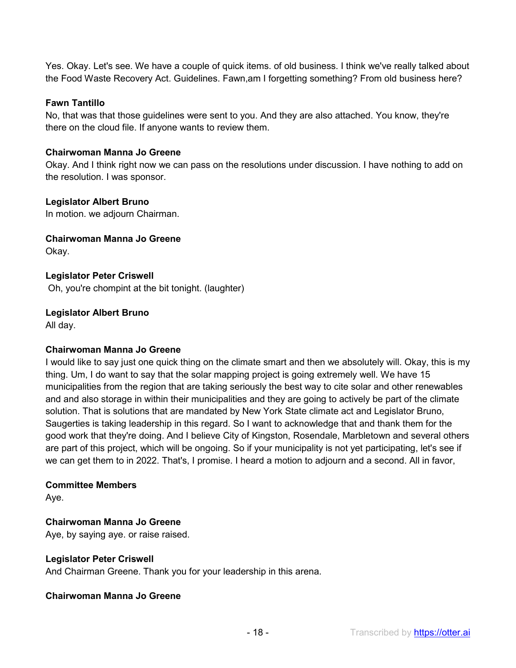Yes. Okay. Let's see. We have a couple of quick items. of old business. I think we've really talked about the Food Waste Recovery Act. Guidelines. Fawn,am I forgetting something? From old business here?

## **Fawn Tantillo**

No, that was that those guidelines were sent to you. And they are also attached. You know, they're there on the cloud file. If anyone wants to review them.

#### **Chairwoman Manna Jo Greene**

Okay. And I think right now we can pass on the resolutions under discussion. I have nothing to add on the resolution. I was sponsor.

#### **Legislator Albert Bruno**

In motion. we adjourn Chairman.

**Chairwoman Manna Jo Greene**  Okay.

**Legislator Peter Criswell**  Oh, you're chompint at the bit tonight. (laughter)

## **Legislator Albert Bruno**

All day.

#### **Chairwoman Manna Jo Greene**

I would like to say just one quick thing on the climate smart and then we absolutely will. Okay, this is my thing. Um, I do want to say that the solar mapping project is going extremely well. We have 15 municipalities from the region that are taking seriously the best way to cite solar and other renewables and and also storage in within their municipalities and they are going to actively be part of the climate solution. That is solutions that are mandated by New York State climate act and Legislator Bruno, Saugerties is taking leadership in this regard. So I want to acknowledge that and thank them for the good work that they're doing. And I believe City of Kingston, Rosendale, Marbletown and several others are part of this project, which will be ongoing. So if your municipality is not yet participating, let's see if we can get them to in 2022. That's, I promise. I heard a motion to adjourn and a second. All in favor,

#### **Committee Members**

Aye.

#### **Chairwoman Manna Jo Greene**

Aye, by saying aye. or raise raised.

#### **Legislator Peter Criswell**

And Chairman Greene. Thank you for your leadership in this arena.

#### **Chairwoman Manna Jo Greene**